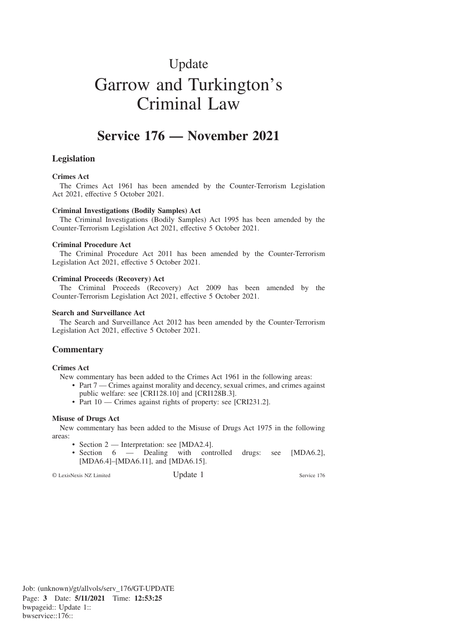# Update Garrow and Turkington's Criminal Law

# **Service 176 — November 2021**

# **Legislation**

### **Crimes Act**

The Crimes Act 1961 has been amended by the Counter-Terrorism Legislation Act 2021, effective 5 October 2021.

#### **Criminal Investigations (Bodily Samples) Act**

The Criminal Investigations (Bodily Samples) Act 1995 has been amended by the Counter-Terrorism Legislation Act 2021, effective 5 October 2021.

#### **Criminal Procedure Act**

The Criminal Procedure Act 2011 has been amended by the Counter-Terrorism Legislation Act 2021, effective 5 October 2021.

#### **Criminal Proceeds (Recovery) Act**

The Criminal Proceeds (Recovery) Act 2009 has been amended by the Counter-Terrorism Legislation Act 2021, effective 5 October 2021.

## **Search and Surveillance Act**

The Search and Surveillance Act 2012 has been amended by the Counter-Terrorism Legislation Act 2021, effective 5 October 2021.

# **Commentary**

#### **Crimes Act**

New commentary has been added to the Crimes Act 1961 in the following areas:

- Part 7 Crimes against morality and decency, sexual crimes, and crimes against public welfare: see [CRI128.10] and [CRI128B.3].
- Part 10 Crimes against rights of property: see [CRI231.2].

#### **Misuse of Drugs Act**

New commentary has been added to the Misuse of Drugs Act 1975 in the following areas:

- Section 2 Interpretation: see [MDA2.4].
- Section 6 Dealing with controlled drugs: see [MDA6.2], [MDA6.4]–[MDA6.11], and [MDA6.15].

© LexisNexis NZ Limited Update 1 Service 176